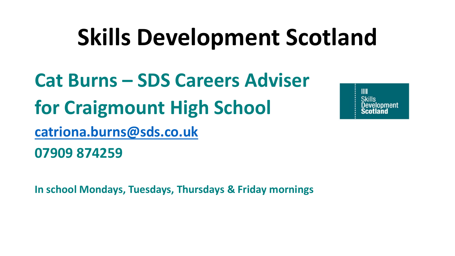# **Skills Development Scotland**

**Cat Burns – SDS Careers Adviser for Craigmount High School [catriona.burns@sds.co.uk](mailto:catriona.burns@sds.co.uk) 07909 874259**

 $III$ **Skills** relonment

**In school Mondays, Tuesdays, Thursdays & Friday mornings**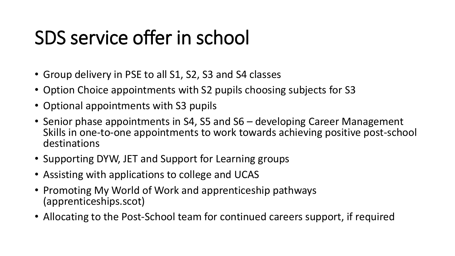## SDS service offer in school

- Group delivery in PSE to all S1, S2, S3 and S4 classes
- Option Choice appointments with S2 pupils choosing subjects for S3
- Optional appointments with S3 pupils
- Senior phase appointments in S4, S5 and S6 developing Career Management Skills in one-to-one appointments to work towards achieving positive post-school destinations
- Supporting DYW, JET and Support for Learning groups
- Assisting with applications to college and UCAS
- Promoting My World of Work and apprenticeship pathways (apprenticeships.scot)
- Allocating to the Post-School team for continued careers support, if required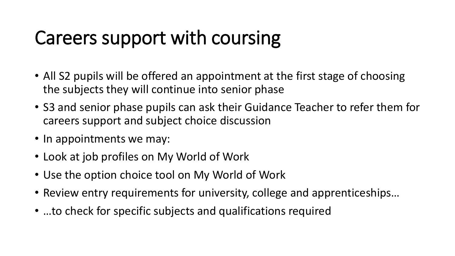## Careers support with coursing

- All S2 pupils will be offered an appointment at the first stage of choosing the subjects they will continue into senior phase
- S3 and senior phase pupils can ask their Guidance Teacher to refer them for careers support and subject choice discussion
- In appointments we may:
- Look at job profiles on My World of Work
- Use the option choice tool on My World of Work
- Review entry requirements for university, college and apprenticeships…
- …to check for specific subjects and qualifications required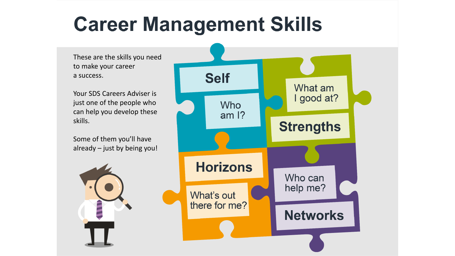# **Career Management Skills**

These are the skills you need to make your career a success.

Your SDS Careers Adviser is just one of the people who can help you develop these skills.

Some of them you'll have already – just by being you!



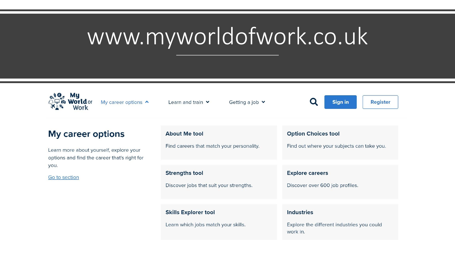# www.myworldofwork.co.uk

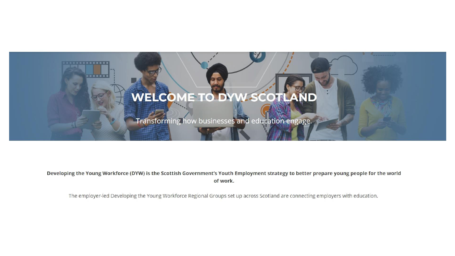#### WELCOME TO DYW SCOTLAND

.....

Transforming how businesses and education engage.

Developing the Young Workforce (DYW) is the Scottish Government's Youth Employment strategy to better prepare young people for the world of work.

The employer-led Developing the Young Workforce Regional Groups set up across Scotland are connecting employers with education.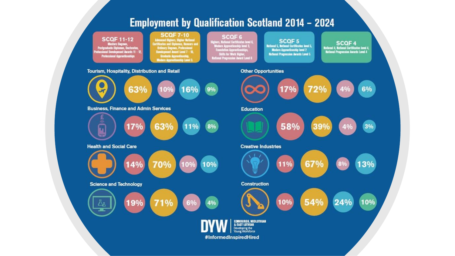#### **Employment by Qualification Scotland 2014 - 2024**

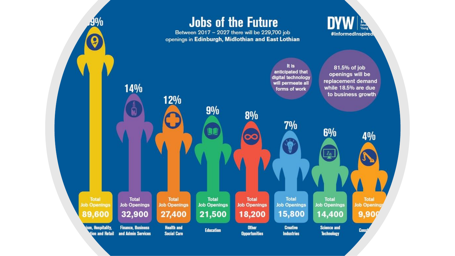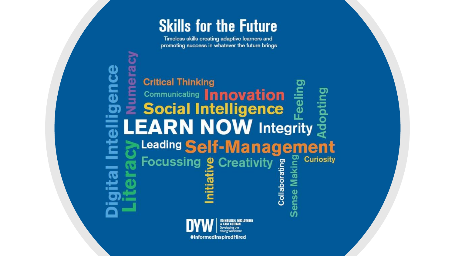### **Skills for the Future**

Timeless skills creating adaptive learners and promoting success in whatever the future brings

**Gr** 

O **K COMPA** 

**Denoted Thinking<br>
Encommunicating Innovation**<br> **Encontracting Innovation**<br> **Encontracting Intelligence** E Communicating **Innovation**<br>**E** Social Intelligence **LEARN NOW** Integrity Leading Self-Management Making **Focussing & Creativity Curiosity** Collaborating **Sense**